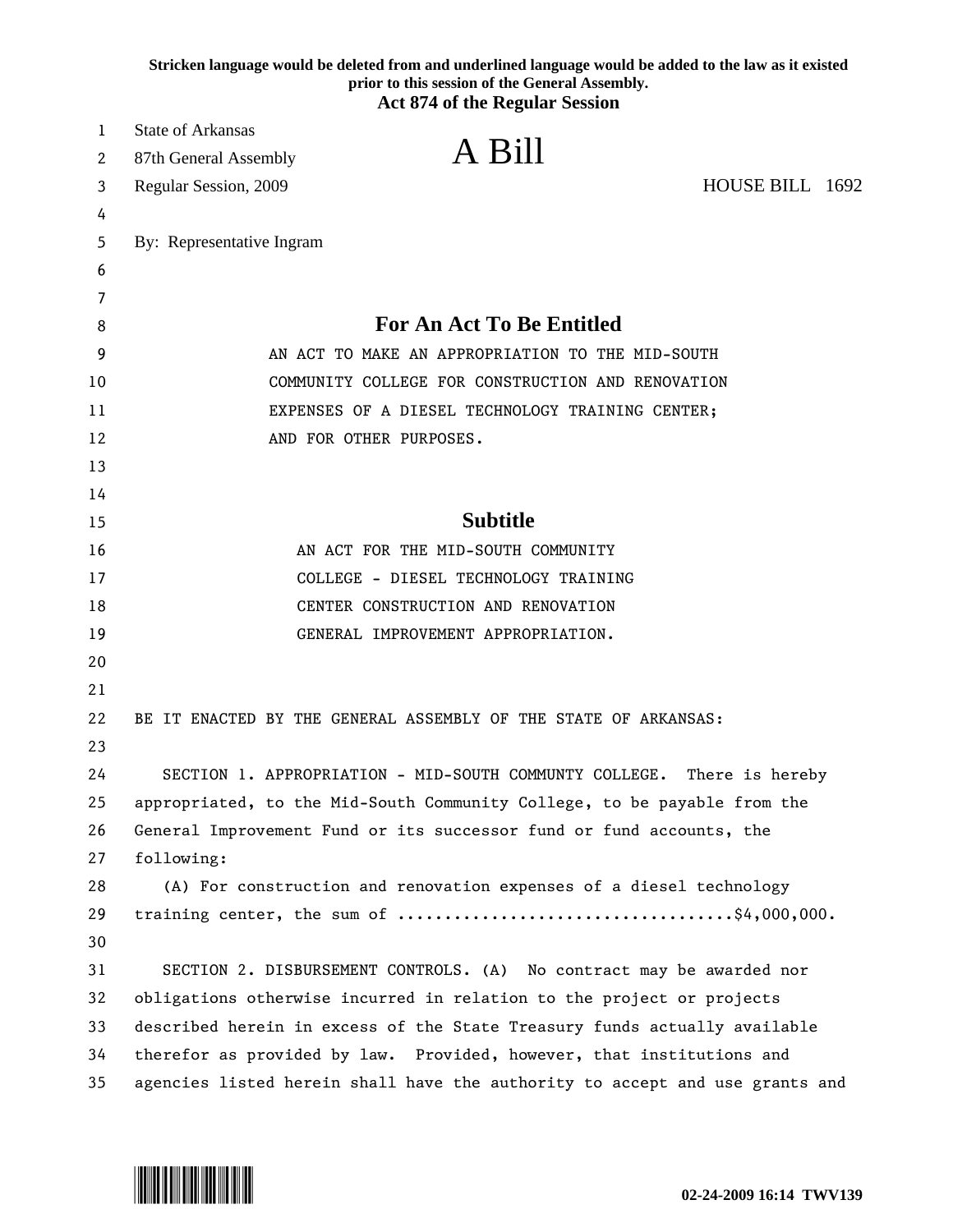|    | Stricken language would be deleted from and underlined language would be added to the law as it existed<br>prior to this session of the General Assembly.<br><b>Act 874 of the Regular Session</b> |
|----|----------------------------------------------------------------------------------------------------------------------------------------------------------------------------------------------------|
| 1  | <b>State of Arkansas</b>                                                                                                                                                                           |
| 2  | A Bill<br>87th General Assembly                                                                                                                                                                    |
| 3  | HOUSE BILL 1692<br>Regular Session, 2009                                                                                                                                                           |
| 4  |                                                                                                                                                                                                    |
| 5  | By: Representative Ingram                                                                                                                                                                          |
| 6  |                                                                                                                                                                                                    |
| 7  |                                                                                                                                                                                                    |
| 8  | <b>For An Act To Be Entitled</b>                                                                                                                                                                   |
| 9  | AN ACT TO MAKE AN APPROPRIATION TO THE MID-SOUTH                                                                                                                                                   |
| 10 | COMMUNITY COLLEGE FOR CONSTRUCTION AND RENOVATION                                                                                                                                                  |
| 11 | EXPENSES OF A DIESEL TECHNOLOGY TRAINING CENTER;                                                                                                                                                   |
| 12 | AND FOR OTHER PURPOSES.                                                                                                                                                                            |
| 13 |                                                                                                                                                                                                    |
| 14 |                                                                                                                                                                                                    |
| 15 | <b>Subtitle</b>                                                                                                                                                                                    |
| 16 | AN ACT FOR THE MID-SOUTH COMMUNITY                                                                                                                                                                 |
| 17 | COLLEGE - DIESEL TECHNOLOGY TRAINING                                                                                                                                                               |
| 18 | CENTER CONSTRUCTION AND RENOVATION                                                                                                                                                                 |
| 19 | GENERAL IMPROVEMENT APPROPRIATION.                                                                                                                                                                 |
| 20 |                                                                                                                                                                                                    |
| 21 |                                                                                                                                                                                                    |
| 22 | BE IT ENACTED BY THE GENERAL ASSEMBLY OF THE STATE OF ARKANSAS:                                                                                                                                    |
| 23 |                                                                                                                                                                                                    |
| 24 | SECTION 1. APPROPRIATION - MID-SOUTH COMMUNTY COLLEGE. There is hereby                                                                                                                             |
| 25 | appropriated, to the Mid-South Community College, to be payable from the                                                                                                                           |
| 26 | General Improvement Fund or its successor fund or fund accounts, the                                                                                                                               |
| 27 | following:                                                                                                                                                                                         |
| 28 | (A) For construction and renovation expenses of a diesel technology                                                                                                                                |
| 29 |                                                                                                                                                                                                    |
| 30 |                                                                                                                                                                                                    |
| 31 | SECTION 2. DISBURSEMENT CONTROLS. (A) No contract may be awarded nor                                                                                                                               |
| 32 | obligations otherwise incurred in relation to the project or projects                                                                                                                              |
| 33 | described herein in excess of the State Treasury funds actually available                                                                                                                          |
| 34 | therefor as provided by law. Provided, however, that institutions and                                                                                                                              |
| 35 | agencies listed herein shall have the authority to accept and use grants and                                                                                                                       |